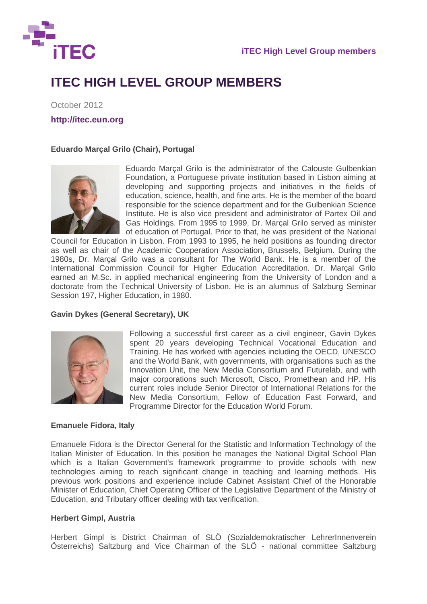

# **ITEC HIGH LEVEL GROUP MEMBERS**

October 2012

**http://itec.eun.org** 

# **Eduardo Marçal Grilo (Chair), Portugal**



Eduardo Marçal Grilo is the administrator of the Calouste Gulbenkian Foundation, a Portuguese private institution based in Lisbon aiming at developing and supporting projects and initiatives in the fields of education, science, health, and fine arts. He is the member of the board responsible for the science department and for the Gulbenkian Science Institute. He is also vice president and administrator of Partex Oil and Gas Holdings. From 1995 to 1999, Dr. Marçal Grilo served as minister of education of Portugal. Prior to that, he was president of the National

Council for Education in Lisbon. From 1993 to 1995, he held positions as founding director as well as chair of the Academic Cooperation Association, Brussels, Belgium. During the 1980s, Dr. Marçal Grilo was a consultant for The World Bank. He is a member of the International Commission Council for Higher Education Accreditation. Dr. Marçal Grilo earned an M.Sc. in applied mechanical engineering from the University of London and a doctorate from the Technical University of Lisbon. He is an alumnus of Salzburg Seminar Session 197, Higher Education, in 1980.

# **Gavin Dykes (General Secretary), UK**



Following a successful first career as a civil engineer, Gavin Dykes spent 20 years developing Technical Vocational Education and Training. He has worked with agencies including the OECD, UNESCO and the World Bank, with governments, with organisations such as the Innovation Unit, the New Media Consortium and Futurelab, and with major corporations such Microsoft, Cisco, Promethean and HP. His current roles include Senior Director of International Relations for the New Media Consortium, Fellow of Education Fast Forward, and Programme Director for the Education World Forum.

# **Emanuele Fidora, Italy**

Emanuele Fidora is the Director General for the Statistic and Information Technology of the Italian Minister of Education. In this position he manages the National Digital School Plan which is a Italian Government's framework programme to provide schools with new technologies aiming to reach significant change in teaching and learning methods. His previous work positions and experience include Cabinet Assistant Chief of the Honorable Minister of Education, Chief Operating Officer of the Legislative Department of the Ministry of Education, and Tributary officer dealing with tax verification.

# **Herbert Gimpl, Austria**

Herbert Gimpl is District Chairman of SLÖ (Sozialdemokratischer LehrerInnenverein Österreichs) Saltzburg and Vice Chairman of the SLÖ - national committee Saltzburg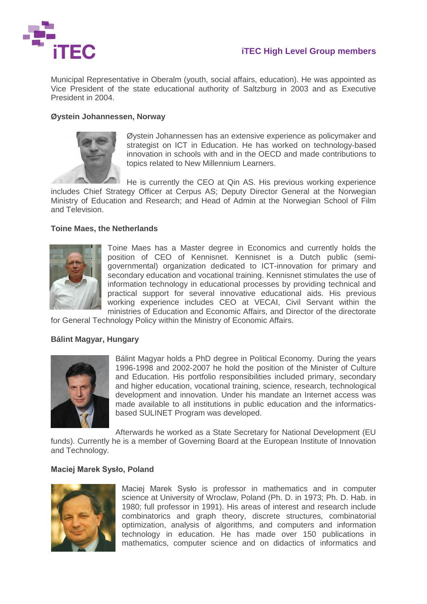

Municipal Representative in Oberalm (youth, social affairs, education). He was appointed as Vice President of the state educational authority of Saltzburg in 2003 and as Executive President in 2004.

### **Øystein Johannessen, Norway**



Øystein Johannessen has an extensive experience as policymaker and strategist on ICT in Education. He has worked on technology-based innovation in schools with and in the OECD and made contributions to topics related to New Millennium Learners.

He is currently the CEO at Qin AS. His previous working experience includes Chief Strategy Officer at Cerpus AS; Deputy Director General at the Norwegian Ministry of Education and Research; and Head of Admin at the Norwegian School of Film and Television.

#### **Toine Maes, the Netherlands**



Toine Maes has a Master degree in Economics and currently holds the position of CEO of Kennisnet. Kennisnet is a Dutch public (semigovernmental) organization dedicated to ICT-innovation for primary and secondary education and vocational training. Kennisnet stimulates the use of information technology in educational processes by providing technical and practical support for several innovative educational aids. His previous working experience includes CEO at VECAI, Civil Servant within the ministries of Education and Economic Affairs, and Director of the directorate

for General Technology Policy within the Ministry of Economic Affairs.

#### **Bálint Magyar, Hungary**



Bálint Magyar holds a PhD degree in Political Economy. During the years 1996-1998 and 2002-2007 he hold the position of the Minister of Culture and Education. His portfolio responsibilities included primary, secondary and higher education, vocational training, science, research, technological development and innovation. Under his mandate an Internet access was made available to all institutions in public education and the informaticsbased SULINET Program was developed.

Afterwards he worked as a State Secretary for National Development (EU

funds). Currently he is a member of Governing Board at the European Institute of Innovation and Technology.

#### **Maciej Marek Sysło, Poland**



Maciej Marek Sysło is professor in mathematics and in computer science at University of Wroclaw, Poland (Ph. D. in 1973; Ph. D. Hab. in 1980; full professor in 1991). His areas of interest and research include combinatorics and graph theory, discrete structures, combinatorial optimization, analysis of algorithms, and computers and information technology in education. He has made over 150 publications in mathematics, computer science and on didactics of informatics and